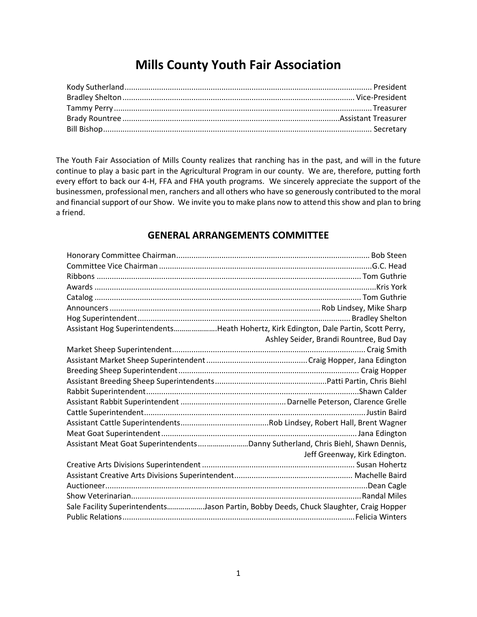# **Mills County Youth Fair Association**

The Youth Fair Association of Mills County realizes that ranching has in the past, and will in the future continue to play a basic part in the Agricultural Program in our county. We are, therefore, putting forth every effort to back our 4-H, FFA and FHA youth programs. We sincerely appreciate the support of the businessmen, professional men, ranchers and all others who have so generously contributed to the moral and financial support of our Show. We invite you to make plans now to attend this show and plan to bring a friend.

# **GENERAL ARRANGEMENTS COMMITTEE**

| Assistant Hog SuperintendentsHeath Hohertz, Kirk Edington, Dale Partin, Scott Perry,  |                                         |
|---------------------------------------------------------------------------------------|-----------------------------------------|
|                                                                                       | Ashley Seider, Brandi Rountree, Bud Day |
|                                                                                       |                                         |
|                                                                                       |                                         |
|                                                                                       |                                         |
|                                                                                       |                                         |
|                                                                                       |                                         |
|                                                                                       |                                         |
|                                                                                       |                                         |
|                                                                                       |                                         |
|                                                                                       |                                         |
| Assistant Meat Goat SuperintendentsDanny Sutherland, Chris Biehl, Shawn Dennis,       |                                         |
|                                                                                       | Jeff Greenway, Kirk Edington.           |
|                                                                                       |                                         |
|                                                                                       |                                         |
|                                                                                       |                                         |
|                                                                                       |                                         |
| Sale Facility SuperintendentsJason Partin, Bobby Deeds, Chuck Slaughter, Craig Hopper |                                         |
|                                                                                       |                                         |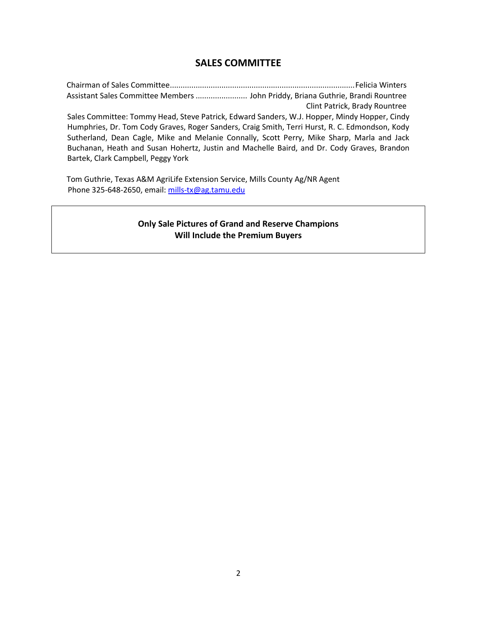# **SALES COMMITTEE**

Chairman of Sales Committee......................................................................................Felicia Winters Assistant Sales Committee Members........................ John Priddy, Briana Guthrie, Brandi Rountree Clint Patrick, Brady Rountree Sales Committee: Tommy Head, Steve Patrick, Edward Sanders, W.J. Hopper, Mindy Hopper, Cindy Humphries, Dr. Tom Cody Graves, Roger Sanders, Craig Smith, Terri Hurst, R. C. Edmondson, Kody Sutherland, Dean Cagle, Mike and Melanie Connally, Scott Perry, Mike Sharp, Marla and Jack Buchanan, Heath and Susan Hohertz, Justin and Machelle Baird, and Dr. Cody Graves, Brandon Bartek, Clark Campbell, Peggy York

Tom Guthrie, Texas A&M AgriLife Extension Service, Mills County Ag/NR Agent Phone 325-648-2650, email[: mills-tx@ag.tamu.edu](mailto:mills-tx@ag.tamu.edu)

# **Only Sale Pictures of Grand and Reserve Champions Will Include the Premium Buyers**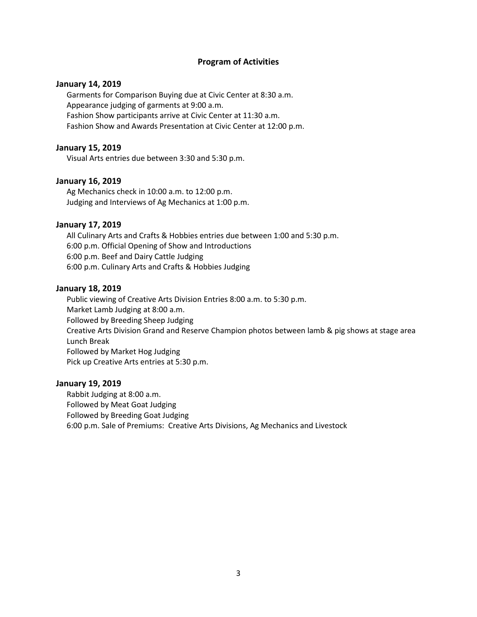#### **Program of Activities**

#### **January 14, 2019**

Garments for Comparison Buying due at Civic Center at 8:30 a.m. Appearance judging of garments at 9:00 a.m. Fashion Show participants arrive at Civic Center at 11:30 a.m. Fashion Show and Awards Presentation at Civic Center at 12:00 p.m.

#### **January 15, 2019**

Visual Arts entries due between 3:30 and 5:30 p.m.

#### **January 16, 2019**

Ag Mechanics check in 10:00 a.m. to 12:00 p.m. Judging and Interviews of Ag Mechanics at 1:00 p.m.

#### **January 17, 2019**

All Culinary Arts and Crafts & Hobbies entries due between 1:00 and 5:30 p.m. 6:00 p.m. Official Opening of Show and Introductions 6:00 p.m. Beef and Dairy Cattle Judging 6:00 p.m. Culinary Arts and Crafts & Hobbies Judging

#### **January 18, 2019**

Public viewing of Creative Arts Division Entries 8:00 a.m. to 5:30 p.m. Market Lamb Judging at 8:00 a.m. Followed by Breeding Sheep Judging Creative Arts Division Grand and Reserve Champion photos between lamb & pig shows at stage area Lunch Break Followed by Market Hog Judging Pick up Creative Arts entries at 5:30 p.m.

#### **January 19, 2019**

Rabbit Judging at 8:00 a.m. Followed by Meat Goat Judging Followed by Breeding Goat Judging 6:00 p.m. Sale of Premiums: Creative Arts Divisions, Ag Mechanics and Livestock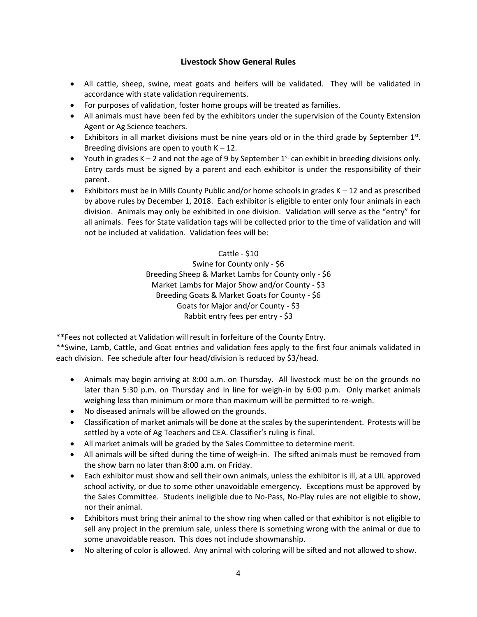# **Livestock Show General Rules**

- All cattle, sheep, swine, meat goats and heifers will be validated. They will be validated in accordance with state validation requirements.
- For purposes of validation, foster home groups will be treated as families.
- All animals must have been fed by the exhibitors under the supervision of the County Extension Agent or Ag Science teachers.
- Exhibitors in all market divisions must be nine years old or in the third grade by September  $1^{st}$ . Breeding divisions are open to youth  $K - 12$ .
- Youth in grades K 2 and not the age of 9 by September  $1<sup>st</sup>$  can exhibit in breeding divisions only. Entry cards must be signed by a parent and each exhibitor is under the responsibility of their parent.
- Exhibitors must be in Mills County Public and/or home schools in grades  $K 12$  and as prescribed by above rules by December 1, 2018. Each exhibitor is eligible to enter only four animals in each division. Animals may only be exhibited in one division. Validation will serve as the "entry" for all animals. Fees for State validation tags will be collected prior to the time of validation and will not be included at validation. Validation fees will be:

Cattle - \$10 Swine for County only - \$6 Breeding Sheep & Market Lambs for County only - \$6 Market Lambs for Major Show and/or County - \$3 Breeding Goats & Market Goats for County - \$6 Goats for Major and/or County - \$3 Rabbit entry fees per entry - \$3

\*\*Fees not collected at Validation will result in forfeiture of the County Entry.

\*\*Swine, Lamb, Cattle, and Goat entries and validation fees apply to the first four animals validated in each division. Fee schedule after four head/division is reduced by \$3/head.

- Animals may begin arriving at 8:00 a.m. on Thursday. All livestock must be on the grounds no later than 5:30 p.m. on Thursday and in line for weigh-in by 6:00 p.m. Only market animals weighing less than minimum or more than maximum will be permitted to re-weigh.
- No diseased animals will be allowed on the grounds.
- Classification of market animals will be done at the scales by the superintendent. Protests will be settled by a vote of Ag Teachers and CEA. Classifier's ruling is final.
- All market animals will be graded by the Sales Committee to determine merit.
- All animals will be sifted during the time of weigh-in. The sifted animals must be removed from the show barn no later than 8:00 a.m. on Friday.
- Each exhibitor must show and sell their own animals, unless the exhibitor is ill, at a UIL approved school activity, or due to some other unavoidable emergency. Exceptions must be approved by the Sales Committee. Students ineligible due to No-Pass, No-Play rules are not eligible to show, nor their animal.
- Exhibitors must bring their animal to the show ring when called or that exhibitor is not eligible to sell any project in the premium sale, unless there is something wrong with the animal or due to some unavoidable reason. This does not include showmanship.
- No altering of color is allowed. Any animal with coloring will be sifted and not allowed to show.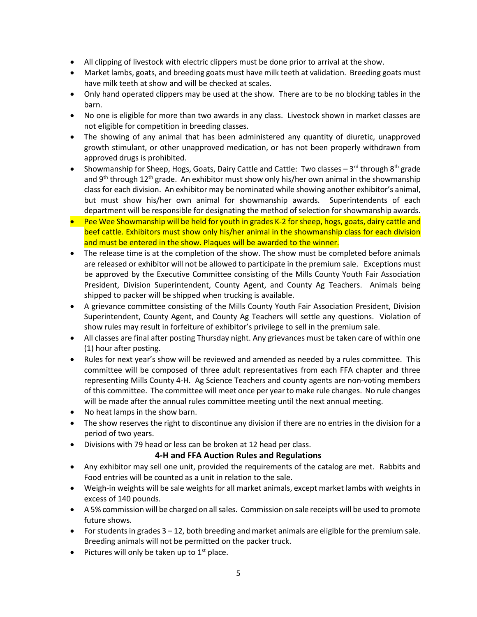- All clipping of livestock with electric clippers must be done prior to arrival at the show.
- Market lambs, goats, and breeding goats must have milk teeth at validation. Breeding goats must have milk teeth at show and will be checked at scales.
- Only hand operated clippers may be used at the show. There are to be no blocking tables in the barn.
- No one is eligible for more than two awards in any class. Livestock shown in market classes are not eligible for competition in breeding classes.
- The showing of any animal that has been administered any quantity of diuretic, unapproved growth stimulant, or other unapproved medication, or has not been properly withdrawn from approved drugs is prohibited.
- Showmanship for Sheep, Hogs, Goats, Dairy Cattle and Cattle: Two classes 3<sup>rd</sup> through 8<sup>th</sup> grade and 9<sup>th</sup> through 12<sup>th</sup> grade. An exhibitor must show only his/her own animal in the showmanship class for each division. An exhibitor may be nominated while showing another exhibitor's animal, but must show his/her own animal for showmanship awards. Superintendents of each department will be responsible for designating the method of selection for showmanship awards.
- Pee Wee Showmanship will be held for youth in grades K-2 for sheep, hogs, goats, dairy cattle and beef cattle. Exhibitors must show only his/her animal in the showmanship class for each division and must be entered in the show. Plaques will be awarded to the winner.
- The release time is at the completion of the show. The show must be completed before animals are released or exhibitor will not be allowed to participate in the premium sale. Exceptions must be approved by the Executive Committee consisting of the Mills County Youth Fair Association President, Division Superintendent, County Agent, and County Ag Teachers. Animals being shipped to packer will be shipped when trucking is available.
- A grievance committee consisting of the Mills County Youth Fair Association President, Division Superintendent, County Agent, and County Ag Teachers will settle any questions. Violation of show rules may result in forfeiture of exhibitor's privilege to sell in the premium sale.
- All classes are final after posting Thursday night. Any grievances must be taken care of within one (1) hour after posting.
- Rules for next year's show will be reviewed and amended as needed by a rules committee. This committee will be composed of three adult representatives from each FFA chapter and three representing Mills County 4-H. Ag Science Teachers and county agents are non-voting members of this committee. The committee will meet once per year to make rule changes. No rule changes will be made after the annual rules committee meeting until the next annual meeting.
- No heat lamps in the show barn.
- The show reserves the right to discontinue any division if there are no entries in the division for a period of two years.
- Divisions with 79 head or less can be broken at 12 head per class.

# **4-H and FFA Auction Rules and Regulations**

- Any exhibitor may sell one unit, provided the requirements of the catalog are met. Rabbits and Food entries will be counted as a unit in relation to the sale.
- Weigh-in weights will be sale weights for all market animals, except market lambs with weights in excess of 140 pounds.
- A 5% commission will be charged on all sales. Commission on sale receipts will be used to promote future shows.
- For students in grades 3 12, both breeding and market animals are eligible for the premium sale. Breeding animals will not be permitted on the packer truck.
- $\bullet$  Pictures will only be taken up to 1<sup>st</sup> place.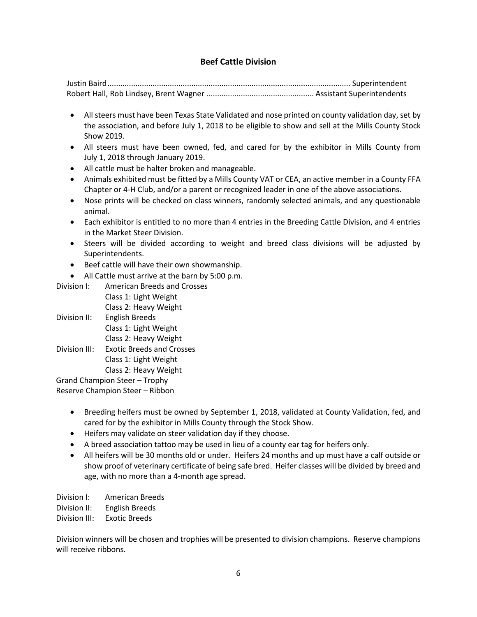# **Beef Cattle Division**

- All steers must have been Texas State Validated and nose printed on county validation day, set by the association, and before July 1, 2018 to be eligible to show and sell at the Mills County Stock Show 2019.
- All steers must have been owned, fed, and cared for by the exhibitor in Mills County from July 1, 2018 through January 2019.
- All cattle must be halter broken and manageable.
- Animals exhibited must be fitted by a Mills County VAT or CEA, an active member in a County FFA Chapter or 4-H Club, and/or a parent or recognized leader in one of the above associations.
- Nose prints will be checked on class winners, randomly selected animals, and any questionable animal.
- Each exhibitor is entitled to no more than 4 entries in the Breeding Cattle Division, and 4 entries in the Market Steer Division.
- Steers will be divided according to weight and breed class divisions will be adjusted by Superintendents.
- Beef cattle will have their own showmanship.
- All Cattle must arrive at the barn by 5:00 p.m.
- Division I: American Breeds and Crosses
- Class 1: Light Weight Class 2: Heavy Weight Division II: English Breeds Class 1: Light Weight Class 2: Heavy Weight Division III: Exotic Breeds and Crosses Class 1: Light Weight Class 2: Heavy Weight

Grand Champion Steer – Trophy Reserve Champion Steer – Ribbon

- Breeding heifers must be owned by September 1, 2018, validated at County Validation, fed, and cared for by the exhibitor in Mills County through the Stock Show.
- Heifers may validate on steer validation day if they choose.
- A breed association tattoo may be used in lieu of a county ear tag for heifers only.
- All heifers will be 30 months old or under. Heifers 24 months and up must have a calf outside or show proof of veterinary certificate of being safe bred. Heifer classes will be divided by breed and age, with no more than a 4-month age spread.

Division I: American Breeds Division II: English Breeds Division III: Exotic Breeds

Division winners will be chosen and trophies will be presented to division champions. Reserve champions will receive ribbons.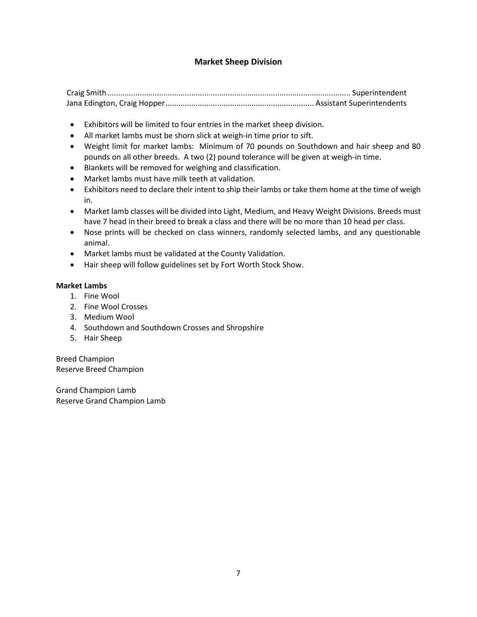# **Market Sheep Division**

Craig Smith................................................................................................................. Superintendent Jana Edington, Craig Hopper..................................................................... Assistant Superintendents

- Exhibitors will be limited to four entries in the market sheep division.
- All market lambs must be shorn slick at weigh-in time prior to sift.
- Weight limit for market lambs: Minimum of 70 pounds on Southdown and hair sheep and 80 pounds on all other breeds. A two (2) pound tolerance will be given at weigh-in time.
- Blankets will be removed for weighing and classification.
- Market lambs must have milk teeth at validation.
- Exhibitors need to declare their intent to ship their lambs or take them home at the time of weigh in.
- Market lamb classes will be divided into Light, Medium, and Heavy Weight Divisions. Breeds must have 7 head in their breed to break a class and there will be no more than 10 head per class.
- Nose prints will be checked on class winners, randomly selected lambs, and any questionable animal.
- Market lambs must be validated at the County Validation.
- Hair sheep will follow guidelines set by Fort Worth Stock Show.

#### **Market Lambs**

- 1. Fine Wool
- 2. Fine Wool Crosses
- 3. Medium Wool
- 4. Southdown and Southdown Crosses and Shropshire
- 5. Hair Sheep

Breed Champion Reserve Breed Champion

Grand Champion Lamb Reserve Grand Champion Lamb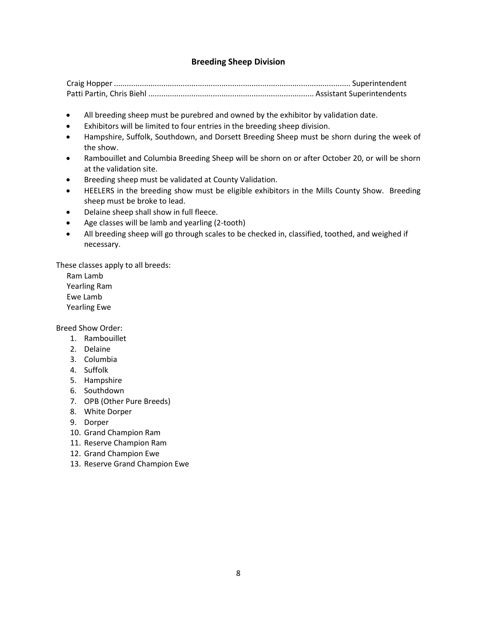# **Breeding Sheep Division**

- All breeding sheep must be purebred and owned by the exhibitor by validation date.
- Exhibitors will be limited to four entries in the breeding sheep division.
- Hampshire, Suffolk, Southdown, and Dorsett Breeding Sheep must be shorn during the week of the show.
- Rambouillet and Columbia Breeding Sheep will be shorn on or after October 20, or will be shorn at the validation site.
- Breeding sheep must be validated at County Validation.
- HEELERS in the breeding show must be eligible exhibitors in the Mills County Show. Breeding sheep must be broke to lead.
- Delaine sheep shall show in full fleece.
- Age classes will be lamb and yearling (2-tooth)
- All breeding sheep will go through scales to be checked in, classified, toothed, and weighed if necessary.

These classes apply to all breeds:

Ram Lamb Yearling Ram Ewe Lamb Yearling Ewe

Breed Show Order:

- 1. Rambouillet
- 2. Delaine
- 3. Columbia
- 4. Suffolk
- 5. Hampshire
- 6. Southdown
- 7. OPB (Other Pure Breeds)
- 8. White Dorper
- 9. Dorper
- 10. Grand Champion Ram
- 11. Reserve Champion Ram
- 12. Grand Champion Ewe
- 13. Reserve Grand Champion Ewe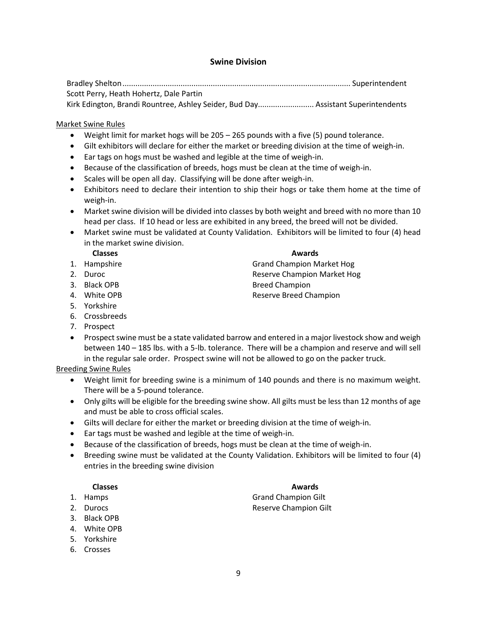# **Swine Division**

Bradley Shelton.......................................................................................................... Superintendent Scott Perry, Heath Hohertz, Dale Partin Kirk Edington, Brandi Rountree, Ashley Seider, Bud Day.......................... Assistant Superintendents

#### Market Swine Rules

- Weight limit for market hogs will be 205 265 pounds with a five (5) pound tolerance.
- Gilt exhibitors will declare for either the market or breeding division at the time of weigh-in.
- Ear tags on hogs must be washed and legible at the time of weigh-in.
- Because of the classification of breeds, hogs must be clean at the time of weigh-in.
- Scales will be open all day. Classifying will be done after weigh-in.
- Exhibitors need to declare their intention to ship their hogs or take them home at the time of weigh-in.
- Market swine division will be divided into classes by both weight and breed with no more than 10 head per class. If 10 head or less are exhibited in any breed, the breed will not be divided.
- Market swine must be validated at County Validation. Exhibitors will be limited to four (4) head in the market swine division.

**Classes Awards**

- 1. Hampshire **Grand Champion Market Hog**
- 2. Duroc **Reserve Champion Market Hog**
- 3. Black OPB Breed Champion
- 4. White OPB **Reserve Breed Champion**
- 5. Yorkshire
- 6. Crossbreeds
- 7. Prospect
- Prospect swine must be a state validated barrow and entered in a major livestock show and weigh between 140 – 185 lbs. with a 5-lb. tolerance. There will be a champion and reserve and will sell in the regular sale order. Prospect swine will not be allowed to go on the packer truck.

Breeding Swine Rules

- Weight limit for breeding swine is a minimum of 140 pounds and there is no maximum weight. There will be a 5-pound tolerance.
- Only gilts will be eligible for the breeding swine show. All gilts must be less than 12 months of age and must be able to cross official scales.
- Gilts will declare for either the market or breeding division at the time of weigh-in.
- Ear tags must be washed and legible at the time of weigh-in.
- Because of the classification of breeds, hogs must be clean at the time of weigh-in.
- Breeding swine must be validated at the County Validation. Exhibitors will be limited to four (4) entries in the breeding swine division

#### **Classes Awards**

- 
- 
- 3. Black OPB
- 4. White OPB
- 5. Yorkshire
- 6. Crosses

- 1. Hamps Grand Champion Gilt 2. Durocs **Reserve Champion Gilt** 
	-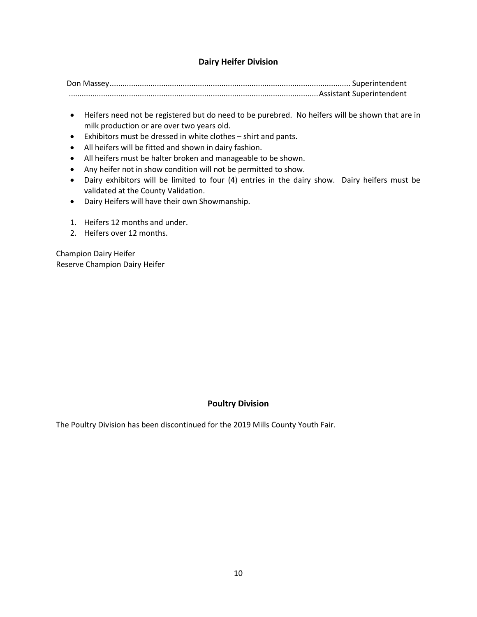# **Dairy Heifer Division**

Don Massey................................................................................................................ Superintendent ....................................................................................................................Assistant Superintendent

- Heifers need not be registered but do need to be purebred. No heifers will be shown that are in milk production or are over two years old.
- Exhibitors must be dressed in white clothes shirt and pants.
- All heifers will be fitted and shown in dairy fashion.
- All heifers must be halter broken and manageable to be shown.
- Any heifer not in show condition will not be permitted to show.
- Dairy exhibitors will be limited to four (4) entries in the dairy show. Dairy heifers must be validated at the County Validation.
- Dairy Heifers will have their own Showmanship.
- 1. Heifers 12 months and under.
- 2. Heifers over 12 months.

Champion Dairy Heifer Reserve Champion Dairy Heifer

# **Poultry Division**

The Poultry Division has been discontinued for the 2019 Mills County Youth Fair.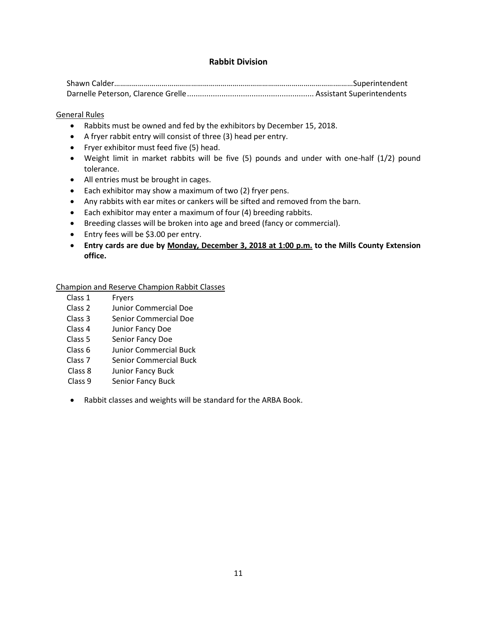# **Rabbit Division**

#### General Rules

- Rabbits must be owned and fed by the exhibitors by December 15, 2018.
- A fryer rabbit entry will consist of three (3) head per entry.
- Fryer exhibitor must feed five (5) head.
- Weight limit in market rabbits will be five (5) pounds and under with one-half (1/2) pound tolerance.
- All entries must be brought in cages.
- Each exhibitor may show a maximum of two (2) fryer pens.
- Any rabbits with ear mites or cankers will be sifted and removed from the barn.
- Each exhibitor may enter a maximum of four (4) breeding rabbits.
- Breeding classes will be broken into age and breed (fancy or commercial).
- Entry fees will be \$3.00 per entry.
- **Entry cards are due by Monday, December 3, 2018 at 1:00 p.m. to the Mills County Extension office.**

#### Champion and Reserve Champion Rabbit Classes

- Class 1 Fryers
- Class 2 Junior Commercial Doe
- Class 3 Senior Commercial Doe
- Class 4 Junior Fancy Doe
- Class 5 Senior Fancy Doe
- Class 6 Junior Commercial Buck
- Class 7 Senior Commercial Buck
- Class 8 Junior Fancy Buck
- Class 9 Senior Fancy Buck
- Rabbit classes and weights will be standard for the ARBA Book.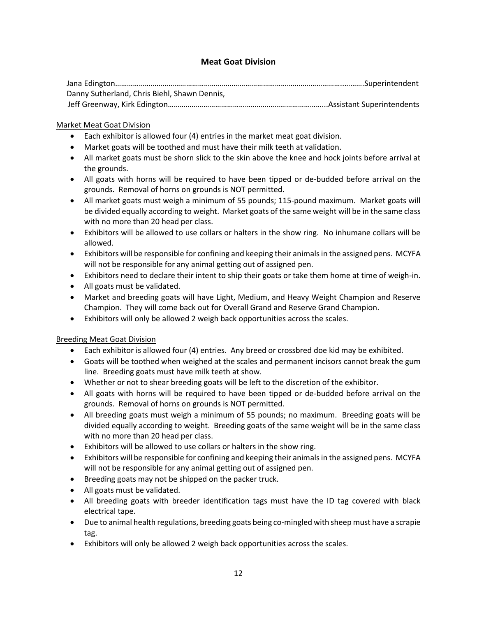# **Meat Goat Division**

| Danny Sutherland, Chris Biehl, Shawn Dennis, |  |
|----------------------------------------------|--|
|                                              |  |

# Market Meat Goat Division

- Each exhibitor is allowed four (4) entries in the market meat goat division.
- Market goats will be toothed and must have their milk teeth at validation.
- All market goats must be shorn slick to the skin above the knee and hock joints before arrival at the grounds.
- All goats with horns will be required to have been tipped or de-budded before arrival on the grounds. Removal of horns on grounds is NOT permitted.
- All market goats must weigh a minimum of 55 pounds; 115-pound maximum. Market goats will be divided equally according to weight. Market goats of the same weight will be in the same class with no more than 20 head per class.
- Exhibitors will be allowed to use collars or halters in the show ring. No inhumane collars will be allowed.
- Exhibitors will be responsible for confining and keeping their animals in the assigned pens. MCYFA will not be responsible for any animal getting out of assigned pen.
- Exhibitors need to declare their intent to ship their goats or take them home at time of weigh-in.
- All goats must be validated.
- Market and breeding goats will have Light, Medium, and Heavy Weight Champion and Reserve Champion. They will come back out for Overall Grand and Reserve Grand Champion.
- Exhibitors will only be allowed 2 weigh back opportunities across the scales.

# Breeding Meat Goat Division

- Each exhibitor is allowed four (4) entries. Any breed or crossbred doe kid may be exhibited.
- Goats will be toothed when weighed at the scales and permanent incisors cannot break the gum line. Breeding goats must have milk teeth at show.
- Whether or not to shear breeding goats will be left to the discretion of the exhibitor.
- All goats with horns will be required to have been tipped or de-budded before arrival on the grounds. Removal of horns on grounds is NOT permitted.
- All breeding goats must weigh a minimum of 55 pounds; no maximum. Breeding goats will be divided equally according to weight. Breeding goats of the same weight will be in the same class with no more than 20 head per class.
- Exhibitors will be allowed to use collars or halters in the show ring.
- Exhibitors will be responsible for confining and keeping their animals in the assigned pens. MCYFA will not be responsible for any animal getting out of assigned pen.
- Breeding goats may not be shipped on the packer truck.
- All goats must be validated.
- All breeding goats with breeder identification tags must have the ID tag covered with black electrical tape.
- Due to animal health regulations, breeding goats being co-mingled with sheep must have a scrapie tag.
- Exhibitors will only be allowed 2 weigh back opportunities across the scales.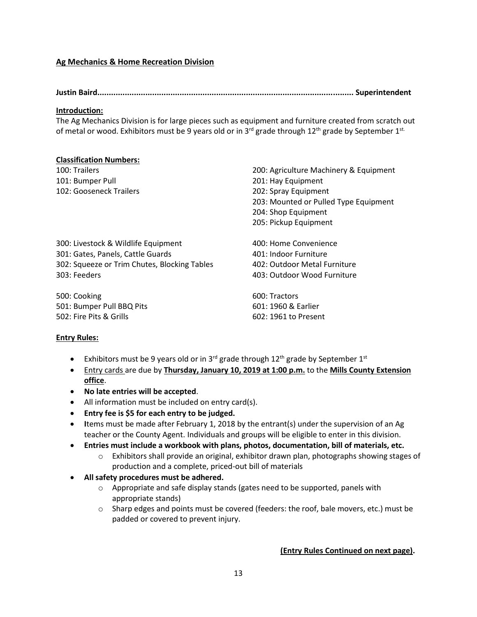# **Ag Mechanics & Home Recreation Division**

**Justin Baird................................................................................................................ Superintendent** 

#### **Introduction:**

The Ag Mechanics Division is for large pieces such as equipment and furniture created from scratch out of metal or wood. Exhibitors must be 9 years old or in 3<sup>rd</sup> grade through 12<sup>th</sup> grade by September 1<sup>st.</sup>

#### **Classification Numbers:**

| 100: Trailers                                | 200: Agriculture Machinery & Equipment |
|----------------------------------------------|----------------------------------------|
| 101: Bumper Pull                             | 201: Hay Equipment                     |
| 102: Gooseneck Trailers                      | 202: Spray Equipment                   |
|                                              | 203: Mounted or Pulled Type Equipment  |
|                                              | 204: Shop Equipment                    |
|                                              | 205: Pickup Equipment                  |
| 300: Livestock & Wildlife Equipment          | 400: Home Convenience                  |
| 301: Gates, Panels, Cattle Guards            | 401: Indoor Furniture                  |
| 302: Squeeze or Trim Chutes, Blocking Tables | 402: Outdoor Metal Furniture           |
| 303: Feeders                                 | 403: Outdoor Wood Furniture            |
| 500: Cooking                                 | 600: Tractors                          |
| 501: Bumper Pull BBQ Pits                    | 601: 1960 & Earlier                    |

502: Fire Pits & Grills 602: 1961 to Present

#### **Entry Rules:**

- Exhibitors must be 9 years old or in 3<sup>rd</sup> grade through 12<sup>th</sup> grade by September 1<sup>st</sup>
- Entry cards are due by **Thursday, January 10, 2019 at 1:00 p.m.** to the **Mills County Extension office**.
- **No late entries will be accepted**.
- All information must be included on entry card(s).
- **Entry fee is \$5 for each entry to be judged.**
- **I**tems must be made after February 1, 2018 by the entrant(s) under the supervision of an Ag teacher or the County Agent. Individuals and groups will be eligible to enter in this division.
- **Entries must include a workbook with plans, photos, documentation, bill of materials, etc.**
	- $\circ$  Exhibitors shall provide an original, exhibitor drawn plan, photographs showing stages of production and a complete, priced-out bill of materials
- **All safety procedures must be adhered.**
	- o Appropriate and safe display stands (gates need to be supported, panels with appropriate stands)
	- $\circ$  Sharp edges and points must be covered (feeders: the roof, bale movers, etc.) must be padded or covered to prevent injury.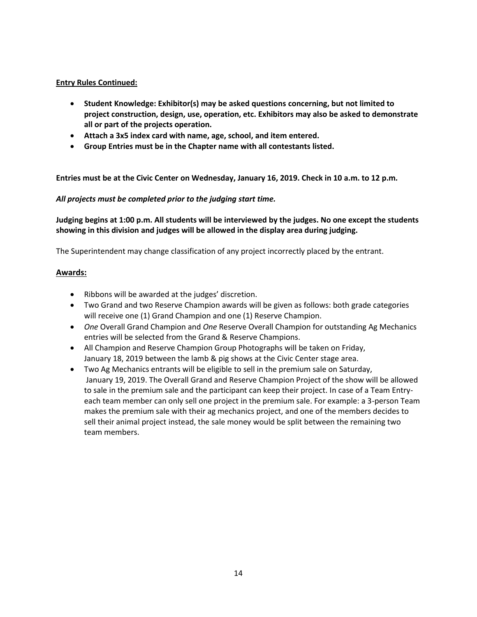- **Student Knowledge: Exhibitor(s) may be asked questions concerning, but not limited to project construction, design, use, operation, etc. Exhibitors may also be asked to demonstrate all or part of the projects operation.**
- **Attach a 3x5 index card with name, age, school, and item entered.**
- **Group Entries must be in the Chapter name with all contestants listed.**

**Entries must be at the Civic Center on Wednesday, January 16, 2019. Check in 10 a.m. to 12 p.m***.*

#### *All projects must be completed prior to the judging start time.*

**Judging begins at 1:00 p.m. All students will be interviewed by the judges. No one except the students showing in this division and judges will be allowed in the display area during judging.**

The Superintendent may change classification of any project incorrectly placed by the entrant.

#### **Awards:**

- Ribbons will be awarded at the judges' discretion.
- Two Grand and two Reserve Champion awards will be given as follows: both grade categories will receive one (1) Grand Champion and one (1) Reserve Champion.
- *One* Overall Grand Champion and *One* Reserve Overall Champion for outstanding Ag Mechanics entries will be selected from the Grand & Reserve Champions.
- All Champion and Reserve Champion Group Photographs will be taken on Friday, January 18, 2019 between the lamb & pig shows at the Civic Center stage area.
- Two Ag Mechanics entrants will be eligible to sell in the premium sale on Saturday, January 19, 2019. The Overall Grand and Reserve Champion Project of the show will be allowed to sale in the premium sale and the participant can keep their project. In case of a Team Entryeach team member can only sell one project in the premium sale. For example: a 3-person Team makes the premium sale with their ag mechanics project, and one of the members decides to sell their animal project instead, the sale money would be split between the remaining two team members.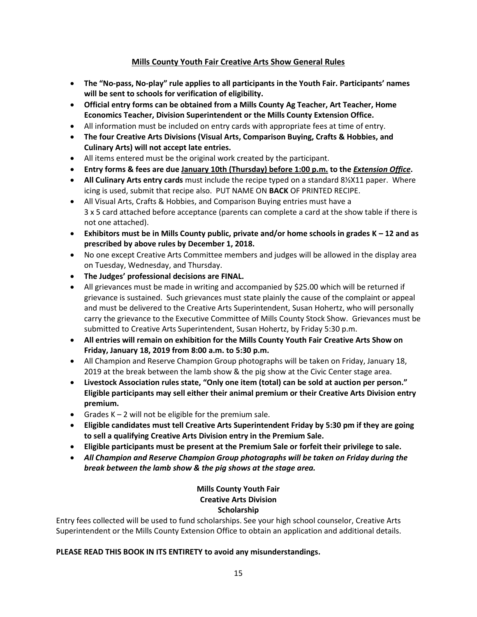# **Mills County Youth Fair Creative Arts Show General Rules**

- **The "No-pass, No-play" rule applies to all participants in the Youth Fair. Participants' names will be sent to schools for verification of eligibility.**
- **Official entry forms can be obtained from a Mills County Ag Teacher, Art Teacher, Home Economics Teacher, Division Superintendent or the Mills County Extension Office.**
- All information must be included on entry cards with appropriate fees at time of entry.
- **The four Creative Arts Divisions (Visual Arts, Comparison Buying, Crafts & Hobbies, and Culinary Arts) will not accept late entries.**
- All items entered must be the original work created by the participant.
- **Entry forms & fees are due January 10th (Thursday) before 1:00 p.m. to the** *Extension Office***.**
- **All Culinary Arts entry cards** must include the recipe typed on a standard 8½X11 paper. Where icing is used, submit that recipe also. PUT NAME ON **BACK** OF PRINTED RECIPE.
- All Visual Arts, Crafts & Hobbies, and Comparison Buying entries must have a 3 x 5 card attached before acceptance (parents can complete a card at the show table if there is not one attached).
- **Exhibitors must be in Mills County public, private and/or home schools in grades K – 12 and as prescribed by above rules by December 1, 2018.**
- No one except Creative Arts Committee members and judges will be allowed in the display area on Tuesday, Wednesday, and Thursday.
- **The Judges' professional decisions are FINAL.**
- All grievances must be made in writing and accompanied by \$25.00 which will be returned if grievance is sustained. Such grievances must state plainly the cause of the complaint or appeal and must be delivered to the Creative Arts Superintendent, Susan Hohertz, who will personally carry the grievance to the Executive Committee of Mills County Stock Show. Grievances must be submitted to Creative Arts Superintendent, Susan Hohertz, by Friday 5:30 p.m.
- **All entries will remain on exhibition for the Mills County Youth Fair Creative Arts Show on Friday, January 18, 2019 from 8:00 a.m. to 5:30 p.m.**
- All Champion and Reserve Champion Group photographs will be taken on Friday, January 18, 2019 at the break between the lamb show & the pig show at the Civic Center stage area.
- **Livestock Association rules state, "Only one item (total) can be sold at auction per person." Eligible participants may sell either their animal premium or their Creative Arts Division entry premium.**
- Grades  $K 2$  will not be eligible for the premium sale.
- **Eligible candidates must tell Creative Arts Superintendent Friday by 5:30 pm if they are going to sell a qualifying Creative Arts Division entry in the Premium Sale.**
- **Eligible participants must be present at the Premium Sale or forfeit their privilege to sale.**
- *All Champion and Reserve Champion Group photographs will be taken on Friday during the break between the lamb show & the pig shows at the stage area.*

# **Mills County Youth Fair Creative Arts Division Scholarship**

Entry fees collected will be used to fund scholarships. See your high school counselor, Creative Arts Superintendent or the Mills County Extension Office to obtain an application and additional details.

#### **PLEASE READ THIS BOOK IN ITS ENTIRETY to avoid any misunderstandings.**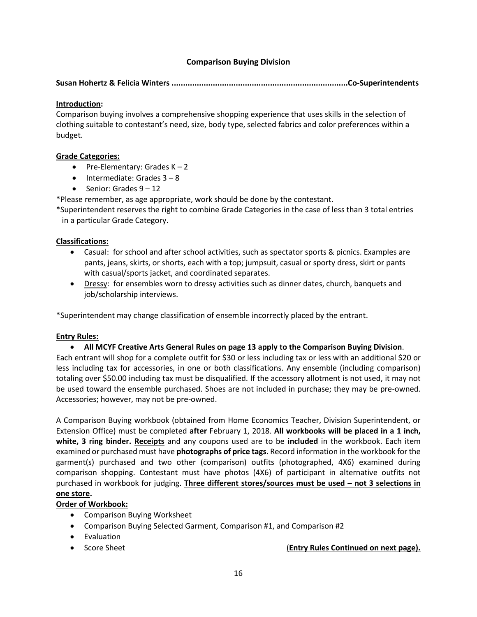# **Comparison Buying Division**

**Susan Hohertz & Felicia Winters .............................................................................Co-Superintendents**

# **Introduction:**

Comparison buying involves a comprehensive shopping experience that uses skills in the selection of clothing suitable to contestant's need, size, body type, selected fabrics and color preferences within a budget.

# **Grade Categories:**

- Pre-Elementary: Grades  $K 2$
- $\bullet$  Intermediate: Grades  $3 8$
- Senior: Grades  $9 12$

\*Please remember, as age appropriate, work should be done by the contestant.

\*Superintendent reserves the right to combine Grade Categories in the case of less than 3 total entries in a particular Grade Category.

# **Classifications:**

- Casual: for school and after school activities, such as spectator sports & picnics. Examples are pants, jeans, skirts, or shorts, each with a top; jumpsuit, casual or sporty dress, skirt or pants with casual/sports jacket, and coordinated separates.
- Dressy: for ensembles worn to dressy activities such as dinner dates, church, banquets and job/scholarship interviews.

\*Superintendent may change classification of ensemble incorrectly placed by the entrant.

#### **Entry Rules:**

#### • **All MCYF Creative Arts General Rules on page 13 apply to the Comparison Buying Division**.

Each entrant will shop for a complete outfit for \$30 or less including tax or less with an additional \$20 or less including tax for accessories, in one or both classifications. Any ensemble (including comparison) totaling over \$50.00 including tax must be disqualified. If the accessory allotment is not used, it may not be used toward the ensemble purchased. Shoes are not included in purchase; they may be pre-owned. Accessories; however, may not be pre-owned.

A Comparison Buying workbook (obtained from Home Economics Teacher, Division Superintendent, or Extension Office) must be completed **after** February 1, 2018. **All workbooks will be placed in a 1 inch, white, 3 ring binder. Receipts** and any coupons used are to be **included** in the workbook. Each item examined or purchased must have **photographs of price tags**. Record information in the workbook for the garment(s) purchased and two other (comparison) outfits (photographed, 4X6) examined during comparison shopping. Contestant must have photos (4X6) of participant in alternative outfits not purchased in workbook for judging. **Three different stores/sources must be used – not 3 selections in one store.** 

#### **Order of Workbook:**

- Comparison Buying Worksheet
- Comparison Buying Selected Garment, Comparison #1, and Comparison #2
- Evaluation
- 

• Score Sheet (**Entry Rules Continued on next page).**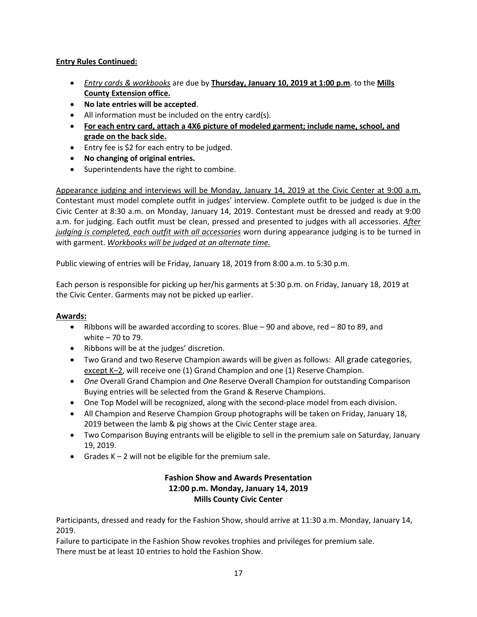- *Entry cards & workbooks* are due by **Thursday, January 10, 2019 at 1:00 p.m**. to the **Mills County Extension office.**
- **No late entries will be accepted**.
- All information must be included on the entry card(s).
- **For each entry card, attach a 4X6 picture of modeled garment; include name, school, and grade on the back side.**
- Entry fee is \$2 for each entry to be judged.
- **No changing of original entries.**
- Superintendents have the right to combine.

Appearance judging and interviews will be Monday, January 14, 2019 at the Civic Center at 9:00 a.m. Contestant must model complete outfit in judges' interview. Complete outfit to be judged is due in the Civic Center at 8:30 a.m. on Monday, January 14, 2019. Contestant must be dressed and ready at 9:00 a.m. for judging. Each outfit must be clean, pressed and presented to judges with all accessories. *After judging is completed, each outfit with all accessories* worn during appearance judging is to be turned in with garment. *Workbooks will be judged at an alternate time.*

Public viewing of entries will be Friday, January 18, 2019 from 8:00 a.m. to 5:30 p.m.

Each person is responsible for picking up her/his garments at 5:30 p.m. on Friday, January 18, 2019 at the Civic Center. Garments may not be picked up earlier.

# **Awards:**

- Ribbons will be awarded according to scores. Blue 90 and above, red 80 to 89, and white – 70 to 79.
- Ribbons will be at the judges' discretion.
- Two Grand and two Reserve Champion awards will be given as follows: All grade categories, except K–2, will receive one (1) Grand Champion and one (1) Reserve Champion.
- *One* Overall Grand Champion and *One* Reserve Overall Champion for outstanding Comparison Buying entries will be selected from the Grand & Reserve Champions.
- One Top Model will be recognized, along with the second-place model from each division.
- All Champion and Reserve Champion Group photographs will be taken on Friday, January 18, 2019 between the lamb & pig shows at the Civic Center stage area.
- Two Comparison Buying entrants will be eligible to sell in the premium sale on Saturday, January 19, 2019.
- Grades  $K 2$  will not be eligible for the premium sale.

# **Fashion Show and Awards Presentation 12:00 p.m. Monday, January 14, 2019 Mills County Civic Center**

Participants, dressed and ready for the Fashion Show, should arrive at 11:30 a.m. Monday, January 14, 2019.

Failure to participate in the Fashion Show revokes trophies and privileges for premium sale. There must be at least 10 entries to hold the Fashion Show.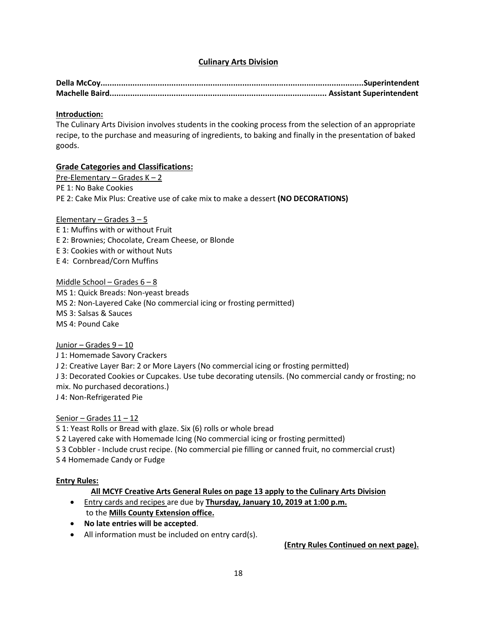# **Culinary Arts Division**

#### **Introduction:**

The Culinary Arts Division involves students in the cooking process from the selection of an appropriate recipe, to the purchase and measuring of ingredients, to baking and finally in the presentation of baked goods.

# **Grade Categories and Classifications:**

Pre-Elementary – Grades K – 2 PE 1: No Bake Cookies PE 2: Cake Mix Plus: Creative use of cake mix to make a dessert **(NO DECORATIONS)** 

#### Elementary – Grades  $3 - 5$

E 1: Muffins with or without Fruit E 2: Brownies; Chocolate, Cream Cheese, or Blonde E 3: Cookies with or without Nuts E 4: Cornbread/Corn Muffins

Middle School – Grades  $6 - 8$ 

MS 1: Quick Breads: Non-yeast breads MS 2: Non-Layered Cake (No commercial icing or frosting permitted) MS 3: Salsas & Sauces MS 4: Pound Cake

Junior – Grades 9 – 10

J 1: Homemade Savory Crackers J 2: Creative Layer Bar: 2 or More Layers (No commercial icing or frosting permitted) J 3: Decorated Cookies or Cupcakes. Use tube decorating utensils. (No commercial candy or frosting; no mix. No purchased decorations.) J 4: Non-Refrigerated Pie

#### Senior – Grades 11 – 12

S 1: Yeast Rolls or Bread with glaze. Six (6) rolls or whole bread S 2 Layered cake with Homemade Icing (No commercial icing or frosting permitted) S 3 Cobbler - Include crust recipe. (No commercial pie filling or canned fruit, no commercial crust) S 4 Homemade Candy or Fudge

#### **Entry Rules:**

# **All MCYF Creative Arts General Rules on page 13 apply to the Culinary Arts Division**

- Entry cards and recipes are due by **Thursday, January 10, 2019 at 1:00 p.m.** to the **Mills County Extension office.**
- **No late entries will be accepted**.
- All information must be included on entry card(s).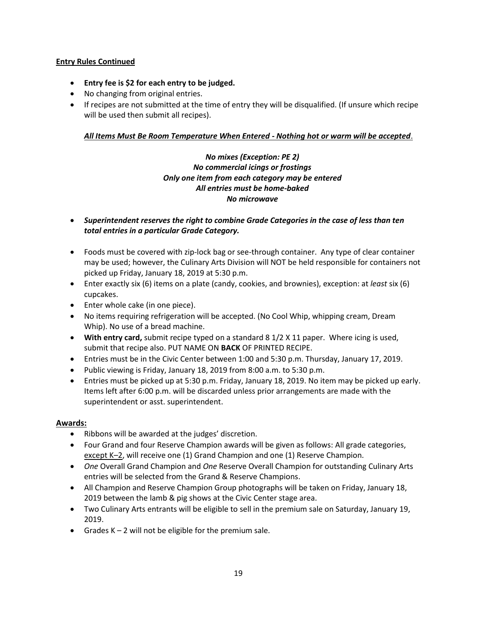- **Entry fee is \$2 for each entry to be judged.**
- No changing from original entries.
- If recipes are not submitted at the time of entry they will be disqualified. (If unsure which recipe will be used then submit all recipes).

# *All Items Must Be Room Temperature When Entered - Nothing hot or warm will be accepted*.

# *No mixes (Exception: PE 2) No commercial icings or frostings Only one item from each category may be entered All entries must be home-baked No microwave*

- *Superintendent reserves the right to combine Grade Categories in the case of less than ten total entries in a particular Grade Category.*
- Foods must be covered with zip-lock bag or see-through container. Any type of clear container may be used; however, the Culinary Arts Division will NOT be held responsible for containers not picked up Friday, January 18, 2019 at 5:30 p.m.
- Enter exactly six (6) items on a plate (candy, cookies, and brownies), exception: at *least* six (6) cupcakes.
- Enter whole cake (in one piece).
- No items requiring refrigeration will be accepted. (No Cool Whip, whipping cream, Dream Whip). No use of a bread machine.
- **With entry card,** submit recipe typed on a standard 8 1/2 X 11 paper. Where icing is used, submit that recipe also. PUT NAME ON **BACK** OF PRINTED RECIPE.
- Entries must be in the Civic Center between 1:00 and 5:30 p.m. Thursday, January 17, 2019.
- Public viewing is Friday, January 18, 2019 from 8:00 a.m. to 5:30 p.m.
- Entries must be picked up at 5:30 p.m. Friday, January 18, 2019. No item may be picked up early. Items left after 6:00 p.m. will be discarded unless prior arrangements are made with the superintendent or asst. superintendent.

# **Awards:**

- Ribbons will be awarded at the judges' discretion.
- Four Grand and four Reserve Champion awards will be given as follows: All grade categories, except K–2, will receive one (1) Grand Champion and one (1) Reserve Champion.
- *One* Overall Grand Champion and *One* Reserve Overall Champion for outstanding Culinary Arts entries will be selected from the Grand & Reserve Champions.
- All Champion and Reserve Champion Group photographs will be taken on Friday, January 18, 2019 between the lamb & pig shows at the Civic Center stage area.
- Two Culinary Arts entrants will be eligible to sell in the premium sale on Saturday, January 19, 2019.
- Grades  $K 2$  will not be eligible for the premium sale.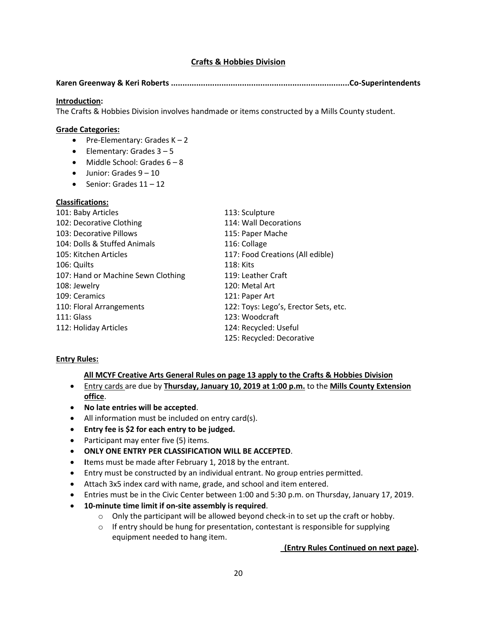# **Crafts & Hobbies Division**

#### **Karen Greenway & Keri Roberts ..............................................................................Co-Superintendents**

#### **Introduction:**

The Crafts & Hobbies Division involves handmade or items constructed by a Mills County student.

#### **Grade Categories:**

- Pre-Elementary: Grades  $K 2$
- Elementary: Grades  $3 5$
- $\bullet$  Middle School: Grades  $6 8$
- $\bullet$  Junior: Grades  $9 10$
- Senior: Grades  $11 12$

#### **Classifications:**

| 101: Baby Articles                 | 113: Sculpture                        |
|------------------------------------|---------------------------------------|
| 102: Decorative Clothing           | 114: Wall Decorations                 |
| 103: Decorative Pillows            | 115: Paper Mache                      |
| 104: Dolls & Stuffed Animals       | 116: Collage                          |
| 105: Kitchen Articles              | 117: Food Creations (All edible)      |
| 106: Quilts                        | 118: Kits                             |
| 107: Hand or Machine Sewn Clothing | 119: Leather Craft                    |
| 108: Jewelry                       | 120: Metal Art                        |
| 109: Ceramics                      | 121: Paper Art                        |
| 110: Floral Arrangements           | 122: Toys: Lego's, Erector Sets, etc. |
| 111: Glass                         | 123: Woodcraft                        |
| 112: Holiday Articles              | 124: Recycled: Useful                 |
|                                    | 125: Recycled: Decorative             |

#### **Entry Rules:**

#### **All MCYF Creative Arts General Rules on page 13 apply to the Crafts & Hobbies Division**

- Entry cards are due by **Thursday, January 10, 2019 at 1:00 p.m.** to the **Mills County Extension office**.
- **No late entries will be accepted**.
- All information must be included on entry card(s).
- **Entry fee is \$2 for each entry to be judged.**
- Participant may enter five (5) items.
- **ONLY ONE ENTRY PER CLASSIFICATION WILL BE ACCEPTED**.
- **I**tems must be made after February 1, 2018 by the entrant.
- Entry must be constructed by an individual entrant. No group entries permitted.
- Attach 3x5 index card with name, grade, and school and item entered.
- Entries must be in the Civic Center between 1:00 and 5:30 p.m. on Thursday, January 17, 2019.
- **10-minute time limit if on-site assembly is required**.
	- $\circ$  Only the participant will be allowed beyond check-in to set up the craft or hobby.
	- $\circ$  If entry should be hung for presentation, contestant is responsible for supplying equipment needed to hang item.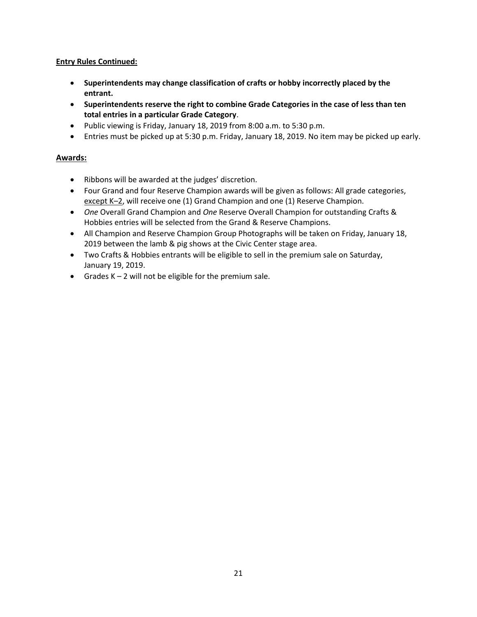- **Superintendents may change classification of crafts or hobby incorrectly placed by the entrant.**
- **Superintendents reserve the right to combine Grade Categories in the case of less than ten total entries in a particular Grade Category**.
- Public viewing is Friday, January 18, 2019 from 8:00 a.m. to 5:30 p.m.
- Entries must be picked up at 5:30 p.m. Friday, January 18, 2019. No item may be picked up early.

# **Awards:**

- Ribbons will be awarded at the judges' discretion.
- Four Grand and four Reserve Champion awards will be given as follows: All grade categories, except K-2, will receive one (1) Grand Champion and one (1) Reserve Champion.
- *One* Overall Grand Champion and *One* Reserve Overall Champion for outstanding Crafts & Hobbies entries will be selected from the Grand & Reserve Champions.
- All Champion and Reserve Champion Group Photographs will be taken on Friday, January 18, 2019 between the lamb & pig shows at the Civic Center stage area.
- Two Crafts & Hobbies entrants will be eligible to sell in the premium sale on Saturday, January 19, 2019.
- Grades  $K 2$  will not be eligible for the premium sale.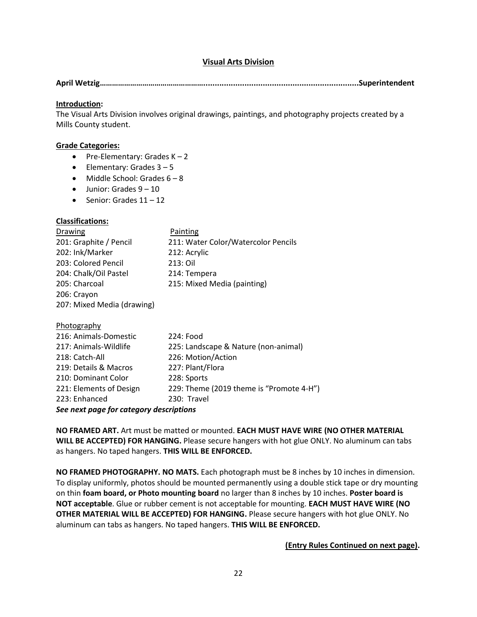# **Visual Arts Division**

**April Wetzig……………………………………………....................................................................Superintendent** 

#### **Introduction:**

The Visual Arts Division involves original drawings, paintings, and photography projects created by a Mills County student.

#### **Grade Categories:**

- Pre-Elementary: Grades  $K 2$
- Elementary: Grades  $3 5$
- Middle School: Grades  $6 8$
- $\bullet$  Junior: Grades  $9 10$
- Senior: Grades  $11 12$

#### **Classifications:**

| <b>Drawing</b>         | Painting                            |
|------------------------|-------------------------------------|
| 201: Graphite / Pencil | 211: Water Color/Watercolor Pencils |
| 202: Ink/Marker        | 212: Acrylic                        |
| 203: Colored Pencil    | 213: Oil                            |
| 204: Chalk/Oil Pastel  | 214: Tempera                        |
| 205: Charcoal          | 215: Mixed Media (painting)         |
| 206: Crayon            |                                     |
|                        |                                     |

207: Mixed Media (drawing)

#### Photography

| See next page for category descriptions |                                          |  |  |
|-----------------------------------------|------------------------------------------|--|--|
| 223: Enhanced                           | 230: Travel                              |  |  |
| 221: Elements of Design                 | 229: Theme (2019 theme is "Promote 4-H") |  |  |
| 210: Dominant Color                     | 228: Sports                              |  |  |
| 219: Details & Macros                   | 227: Plant/Flora                         |  |  |
| 218: Catch-All                          | 226: Motion/Action                       |  |  |
| 217: Animals-Wildlife                   | 225: Landscape & Nature (non-animal)     |  |  |
| 216: Animals-Domestic                   | 224: Food                                |  |  |
|                                         |                                          |  |  |

**NO FRAMED ART.** Art must be matted or mounted. **EACH MUST HAVE WIRE (NO OTHER MATERIAL WILL BE ACCEPTED) FOR HANGING.** Please secure hangers with hot glue ONLY. No aluminum can tabs as hangers. No taped hangers. **THIS WILL BE ENFORCED.**

**NO FRAMED PHOTOGRAPHY. NO MATS.** Each photograph must be 8 inches by 10 inches in dimension. To display uniformly, photos should be mounted permanently using a double stick tape or dry mounting on thin **foam board, or Photo mounting board** no larger than 8 inches by 10 inches. **Poster board is NOT acceptable**. Glue or rubber cement is not acceptable for mounting. **EACH MUST HAVE WIRE (NO OTHER MATERIAL WILL BE ACCEPTED) FOR HANGING.** Please secure hangers with hot glue ONLY. No aluminum can tabs as hangers. No taped hangers. **THIS WILL BE ENFORCED.**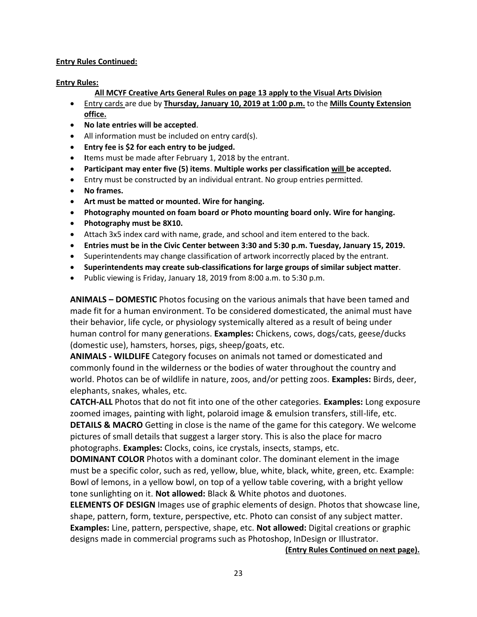#### **Entry Rules:**

#### **All MCYF Creative Arts General Rules on page 13 apply to the Visual Arts Division**

- Entry cards are due by **Thursday, January 10, 2019 at 1:00 p.m.** to the **Mills County Extension office.**
- **No late entries will be accepted**.
- All information must be included on entry card(s).
- **Entry fee is \$2 for each entry to be judged.**
- **I**tems must be made after February 1, 2018 by the entrant.
- **Participant may enter five (5) items**. **Multiple works per classification will be accepted.**
- Entry must be constructed by an individual entrant. No group entries permitted.
- **No frames.**
- **Art must be matted or mounted. Wire for hanging.**
- **Photography mounted on foam board or Photo mounting board only. Wire for hanging.**
- **Photography must be 8X10.**
- Attach 3x5 index card with name, grade, and school and item entered to the back.
- **Entries must be in the Civic Center between 3:30 and 5:30 p.m. Tuesday, January 15, 2019.**
- Superintendents may change classification of artwork incorrectly placed by the entrant.
- **Superintendents may create sub-classifications for large groups of similar subject matter**.
- Public viewing is Friday, January 18, 2019 from 8:00 a.m. to 5:30 p.m.

**ANIMALS – DOMESTIC** Photos focusing on the various animals that have been tamed and made fit for a human environment. To be considered domesticated, the animal must have their behavior, life cycle, or physiology systemically altered as a result of being under human control for many generations. **Examples:** Chickens, cows, dogs/cats, geese/ducks (domestic use), hamsters, horses, pigs, sheep/goats, etc.

**ANIMALS - WILDLIFE** Category focuses on animals not tamed or domesticated and commonly found in the wilderness or the bodies of water throughout the country and world. Photos can be of wildlife in nature, zoos, and/or petting zoos. **Examples:** Birds, deer, elephants, snakes, whales, etc.

**CATCH-ALL** Photos that do not fit into one of the other categories. **Examples:** Long exposure zoomed images, painting with light, polaroid image & emulsion transfers, still-life, etc. **DETAILS & MACRO** Getting in close is the name of the game for this category. We welcome pictures of small details that suggest a larger story. This is also the place for macro photographs. **Examples:** Clocks, coins, ice crystals, insects, stamps, etc.

**DOMINANT COLOR** Photos with a dominant color. The dominant element in the image must be a specific color, such as red, yellow, blue, white, black, white, green, etc. Example: Bowl of lemons, in a yellow bowl, on top of a yellow table covering, with a bright yellow tone sunlighting on it. **Not allowed:** Black & White photos and duotones.

**ELEMENTS OF DESIGN** Images use of graphic elements of design. Photos that showcase line, shape, pattern, form, texture, perspective, etc. Photo can consist of any subject matter. **Examples:** Line, pattern, perspective, shape, etc. **Not allowed:** Digital creations or graphic designs made in commercial programs such as Photoshop, InDesign or Illustrator.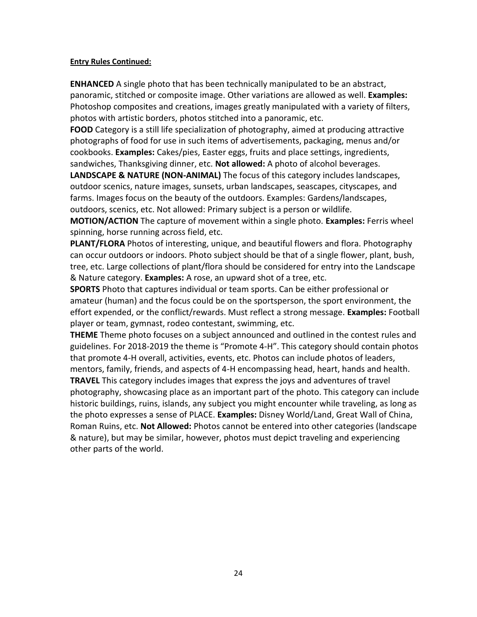**ENHANCED** A single photo that has been technically manipulated to be an abstract, panoramic, stitched or composite image. Other variations are allowed as well. **Examples:** Photoshop composites and creations, images greatly manipulated with a variety of filters, photos with artistic borders, photos stitched into a panoramic, etc.

**FOOD** Category is a still life specialization of photography, aimed at producing attractive photographs of food for use in such items of advertisements, packaging, menus and/or cookbooks. **Examples:** Cakes/pies, Easter eggs, fruits and place settings, ingredients, sandwiches, Thanksgiving dinner, etc. **Not allowed:** A photo of alcohol beverages.

**LANDSCAPE & NATURE (NON-ANIMAL)** The focus of this category includes landscapes, outdoor scenics, nature images, sunsets, urban landscapes, seascapes, cityscapes, and farms. Images focus on the beauty of the outdoors. Examples: Gardens/landscapes, outdoors, scenics, etc. Not allowed: Primary subject is a person or wildlife.

**MOTION/ACTION** The capture of movement within a single photo. **Examples:** Ferris wheel spinning, horse running across field, etc.

**PLANT/FLORA** Photos of interesting, unique, and beautiful flowers and flora. Photography can occur outdoors or indoors. Photo subject should be that of a single flower, plant, bush, tree, etc. Large collections of plant/flora should be considered for entry into the Landscape & Nature category. **Examples:** A rose, an upward shot of a tree, etc.

**SPORTS** Photo that captures individual or team sports. Can be either professional or amateur (human) and the focus could be on the sportsperson, the sport environment, the effort expended, or the conflict/rewards. Must reflect a strong message. **Examples:** Football player or team, gymnast, rodeo contestant, swimming, etc.

**THEME** Theme photo focuses on a subject announced and outlined in the contest rules and guidelines. For 2018-2019 the theme is "Promote 4-H". This category should contain photos that promote 4-H overall, activities, events, etc. Photos can include photos of leaders, mentors, family, friends, and aspects of 4-H encompassing head, heart, hands and health.

**TRAVEL** This category includes images that express the joys and adventures of travel photography, showcasing place as an important part of the photo. This category can include historic buildings, ruins, islands, any subject you might encounter while traveling, as long as the photo expresses a sense of PLACE. **Examples:** Disney World/Land, Great Wall of China, Roman Ruins, etc. **Not Allowed:** Photos cannot be entered into other categories (landscape & nature), but may be similar, however, photos must depict traveling and experiencing other parts of the world.